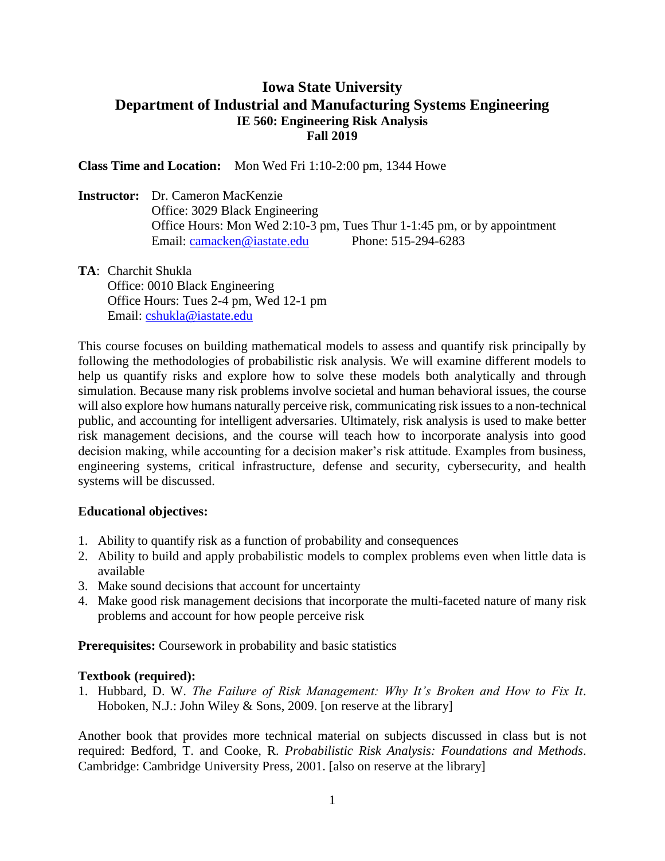## **Iowa State University Department of Industrial and Manufacturing Systems Engineering IE 560: Engineering Risk Analysis Fall 2019**

**Class Time and Location:** Mon Wed Fri 1:10-2:00 pm, 1344 Howe

**Instructor:** Dr. Cameron MacKenzie Office: 3029 Black Engineering Office Hours: Mon Wed 2:10-3 pm, Tues Thur 1-1:45 pm, or by appointment Email: [camacken@iastate.edu](mailto:camacken@iastate.edu) Phone: 515-294-6283

**TA**: Charchit Shukla Office: 0010 Black Engineering Office Hours: Tues 2-4 pm, Wed 12-1 pm Email: [cshukla@iastate.edu](mailto:cshukla@iastate.edu)

This course focuses on building mathematical models to assess and quantify risk principally by following the methodologies of probabilistic risk analysis. We will examine different models to help us quantify risks and explore how to solve these models both analytically and through simulation. Because many risk problems involve societal and human behavioral issues, the course will also explore how humans naturally perceive risk, communicating risk issues to a non-technical public, and accounting for intelligent adversaries. Ultimately, risk analysis is used to make better risk management decisions, and the course will teach how to incorporate analysis into good decision making, while accounting for a decision maker's risk attitude. Examples from business, engineering systems, critical infrastructure, defense and security, cybersecurity, and health systems will be discussed.

## **Educational objectives:**

- 1. Ability to quantify risk as a function of probability and consequences
- 2. Ability to build and apply probabilistic models to complex problems even when little data is available
- 3. Make sound decisions that account for uncertainty
- 4. Make good risk management decisions that incorporate the multi-faceted nature of many risk problems and account for how people perceive risk

**Prerequisites:** Coursework in probability and basic statistics

## **Textbook (required):**

1. Hubbard, D. W. *The Failure of Risk Management: Why It's Broken and How to Fix It*. Hoboken, N.J.: John Wiley & Sons, 2009. [on reserve at the library]

Another book that provides more technical material on subjects discussed in class but is not required: Bedford, T. and Cooke, R. *Probabilistic Risk Analysis: Foundations and Methods*. Cambridge: Cambridge University Press, 2001. [also on reserve at the library]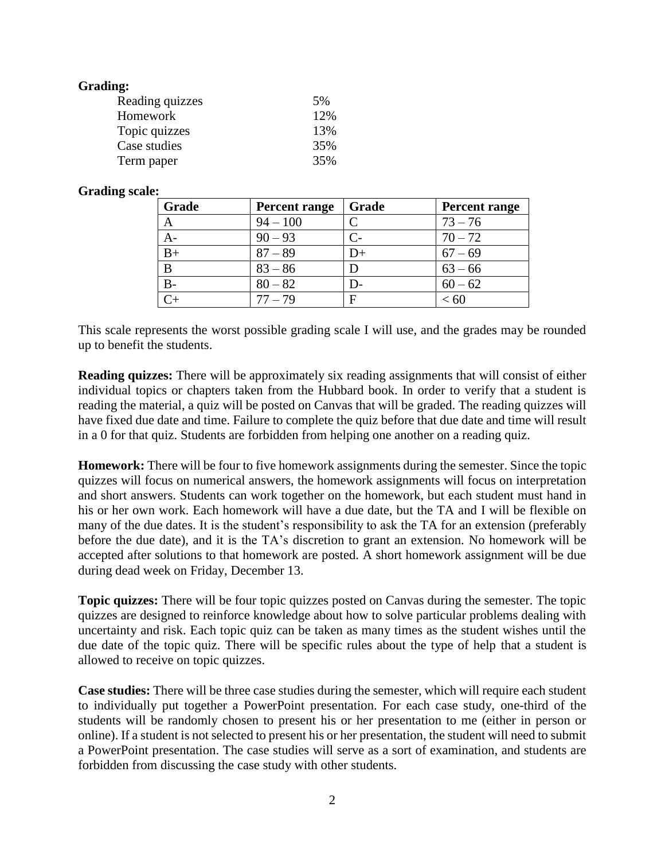| <b>Grading:</b> |     |
|-----------------|-----|
| Reading quizzes | 5%  |
| Homework        | 12% |
| Topic quizzes   | 13% |
| Case studies    | 35% |
| Term paper      | 35% |

## **Grading scale:**

| Grade | Percent range | Grade | Percent range |
|-------|---------------|-------|---------------|
| A     | $94 - 100$    |       | $73 - 76$     |
| A-    | $90 - 93$     | C-    | $70 - 72$     |
| $B+$  | $87 - 89$     | D+    | $67 - 69$     |
| B     | $83 - 86$     |       | $63 - 66$     |
| $B-$  | $80 - 82$     | D-    | $60 - 62$     |
|       | $77 - 79$     | E     | < 60          |

This scale represents the worst possible grading scale I will use, and the grades may be rounded up to benefit the students.

**Reading quizzes:** There will be approximately six reading assignments that will consist of either individual topics or chapters taken from the Hubbard book. In order to verify that a student is reading the material, a quiz will be posted on Canvas that will be graded. The reading quizzes will have fixed due date and time. Failure to complete the quiz before that due date and time will result in a 0 for that quiz. Students are forbidden from helping one another on a reading quiz.

**Homework:** There will be four to five homework assignments during the semester. Since the topic quizzes will focus on numerical answers, the homework assignments will focus on interpretation and short answers. Students can work together on the homework, but each student must hand in his or her own work. Each homework will have a due date, but the TA and I will be flexible on many of the due dates. It is the student's responsibility to ask the TA for an extension (preferably before the due date), and it is the TA's discretion to grant an extension. No homework will be accepted after solutions to that homework are posted. A short homework assignment will be due during dead week on Friday, December 13.

**Topic quizzes:** There will be four topic quizzes posted on Canvas during the semester. The topic quizzes are designed to reinforce knowledge about how to solve particular problems dealing with uncertainty and risk. Each topic quiz can be taken as many times as the student wishes until the due date of the topic quiz. There will be specific rules about the type of help that a student is allowed to receive on topic quizzes.

**Case studies:** There will be three case studies during the semester, which will require each student to individually put together a PowerPoint presentation. For each case study, one-third of the students will be randomly chosen to present his or her presentation to me (either in person or online). If a student is not selected to present his or her presentation, the student will need to submit a PowerPoint presentation. The case studies will serve as a sort of examination, and students are forbidden from discussing the case study with other students.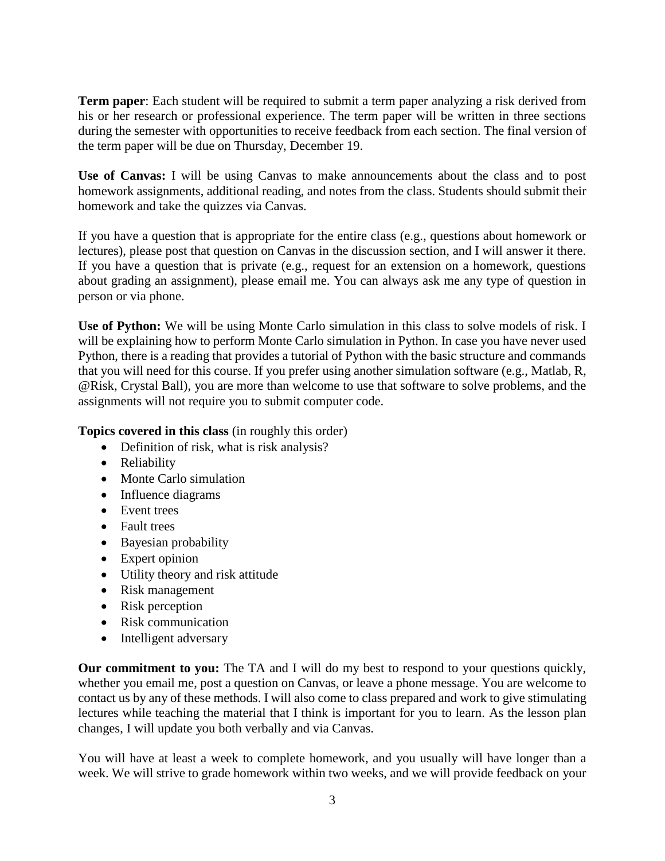**Term paper**: Each student will be required to submit a term paper analyzing a risk derived from his or her research or professional experience. The term paper will be written in three sections during the semester with opportunities to receive feedback from each section. The final version of the term paper will be due on Thursday, December 19.

**Use of Canvas:** I will be using Canvas to make announcements about the class and to post homework assignments, additional reading, and notes from the class. Students should submit their homework and take the quizzes via Canvas.

If you have a question that is appropriate for the entire class (e.g., questions about homework or lectures), please post that question on Canvas in the discussion section, and I will answer it there. If you have a question that is private (e.g., request for an extension on a homework, questions about grading an assignment), please email me. You can always ask me any type of question in person or via phone.

**Use of Python:** We will be using Monte Carlo simulation in this class to solve models of risk. I will be explaining how to perform Monte Carlo simulation in Python. In case you have never used Python, there is a reading that provides a tutorial of Python with the basic structure and commands that you will need for this course. If you prefer using another simulation software (e.g., Matlab, R, @Risk, Crystal Ball), you are more than welcome to use that software to solve problems, and the assignments will not require you to submit computer code.

**Topics covered in this class** (in roughly this order)

- Definition of risk, what is risk analysis?
- Reliability
- Monte Carlo simulation
- Influence diagrams
- Event trees
- Fault trees
- Bayesian probability
- Expert opinion
- Utility theory and risk attitude
- Risk management
- Risk perception
- Risk communication
- Intelligent adversary

**Our commitment to you:** The TA and I will do my best to respond to your questions quickly, whether you email me, post a question on Canvas, or leave a phone message. You are welcome to contact us by any of these methods. I will also come to class prepared and work to give stimulating lectures while teaching the material that I think is important for you to learn. As the lesson plan changes, I will update you both verbally and via Canvas.

You will have at least a week to complete homework, and you usually will have longer than a week. We will strive to grade homework within two weeks, and we will provide feedback on your